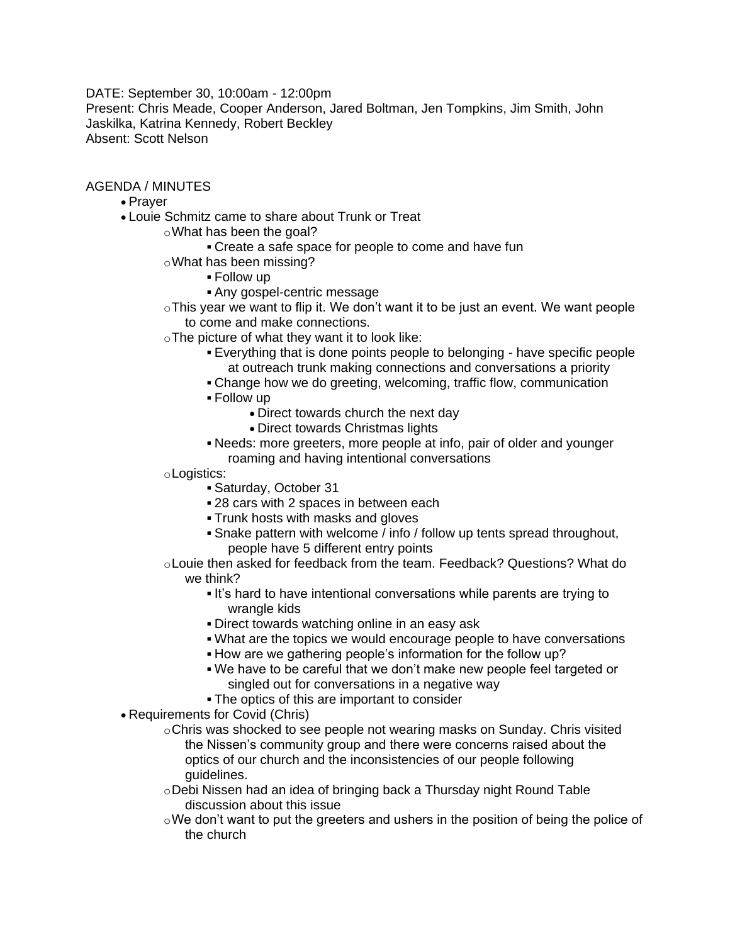DATE: September 30, 10:00am - 12:00pm Present: Chris Meade, Cooper Anderson, Jared Boltman, Jen Tompkins, Jim Smith, John Jaskilka, Katrina Kennedy, Robert Beckley Absent: Scott Nelson

AGENDA / MINUTES

- Prayer
- Louie Schmitz came to share about Trunk or Treat
	- oWhat has been the goal?
		- Create a safe space for people to come and have fun
	- oWhat has been missing?
		- Follow up
		- Any gospel-centric message
	- $\circ$ This year we want to flip it. We don't want it to be just an event. We want people to come and make connections.
	- $\circ$ The picture of what they want it to look like:
		- Everything that is done points people to belonging have specific people at outreach trunk making connections and conversations a priority
		- Change how we do greeting, welcoming, traffic flow, communication
		- Follow up
			- Direct towards church the next day
			- Direct towards Christmas lights
		- Needs: more greeters, more people at info, pair of older and younger roaming and having intentional conversations
	- oLogistics:
		- Saturday, October 31
		- 28 cars with 2 spaces in between each
		- Trunk hosts with masks and gloves
		- Snake pattern with welcome / info / follow up tents spread throughout, people have 5 different entry points
	- oLouie then asked for feedback from the team. Feedback? Questions? What do we think?
		- It's hard to have intentional conversations while parents are trying to wrangle kids
		- Direct towards watching online in an easy ask
		- What are the topics we would encourage people to have conversations
		- How are we gathering people's information for the follow up?
		- We have to be careful that we don't make new people feel targeted or singled out for conversations in a negative way
		- The optics of this are important to consider
- Requirements for Covid (Chris)
	- oChris was shocked to see people not wearing masks on Sunday. Chris visited the Nissen's community group and there were concerns raised about the optics of our church and the inconsistencies of our people following guidelines.
	- oDebi Nissen had an idea of bringing back a Thursday night Round Table discussion about this issue
	- $\circ$ We don't want to put the greeters and ushers in the position of being the police of the church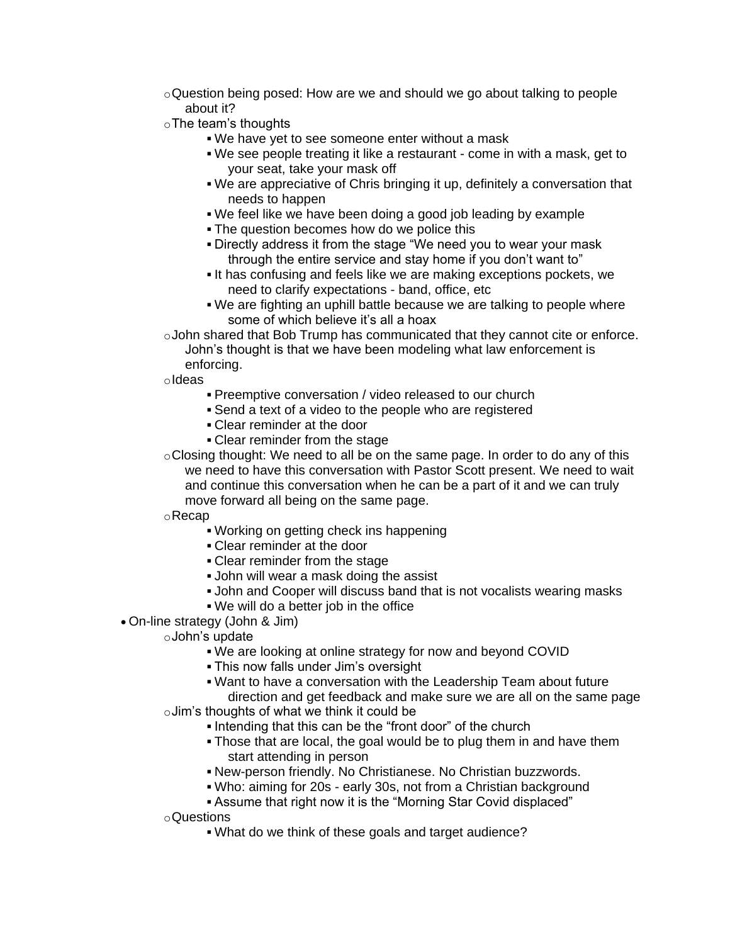- $\circ$ Question being posed: How are we and should we go about talking to people about it?
- oThe team's thoughts
	- We have yet to see someone enter without a mask
	- We see people treating it like a restaurant come in with a mask, get to your seat, take your mask off
	- We are appreciative of Chris bringing it up, definitely a conversation that needs to happen
	- We feel like we have been doing a good job leading by example
	- **The question becomes how do we police this**
	- Directly address it from the stage "We need you to wear your mask through the entire service and stay home if you don't want to"
	- It has confusing and feels like we are making exceptions pockets, we need to clarify expectations - band, office, etc
	- We are fighting an uphill battle because we are talking to people where some of which believe it's all a hoax

oJohn shared that Bob Trump has communicated that they cannot cite or enforce. John's thought is that we have been modeling what law enforcement is

enforcing.

oIdeas

- Preemptive conversation / video released to our church
- Send a text of a video to the people who are registered
- Clear reminder at the door
- Clear reminder from the stage
- $\circ$ Closing thought: We need to all be on the same page. In order to do any of this we need to have this conversation with Pastor Scott present. We need to wait and continue this conversation when he can be a part of it and we can truly move forward all being on the same page.

oRecap

- Working on getting check ins happening
- Clear reminder at the door
- Clear reminder from the stage
- **John will wear a mask doing the assist**
- John and Cooper will discuss band that is not vocalists wearing masks
- We will do a better job in the office
- On-line strategy (John & Jim)
	- oJohn's update
		- We are looking at online strategy for now and beyond COVID
		- This now falls under Jim's oversight
		- Want to have a conversation with the Leadership Team about future

direction and get feedback and make sure we are all on the same page oJim's thoughts of what we think it could be

- Intending that this can be the "front door" of the church
- . Those that are local, the goal would be to plug them in and have them start attending in person
- New-person friendly. No Christianese. No Christian buzzwords.
- Who: aiming for 20s early 30s, not from a Christian background
- Assume that right now it is the "Morning Star Covid displaced"
- oQuestions
	- What do we think of these goals and target audience?